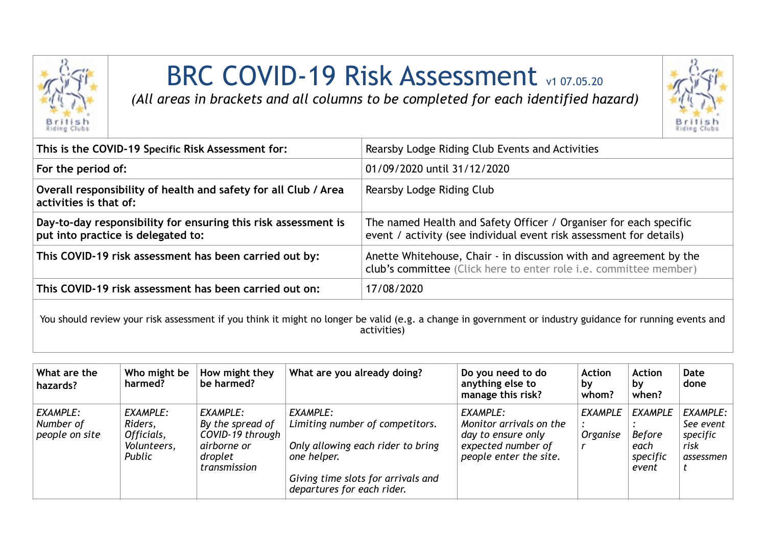

## BRC COVID-19 Risk Assessment v1 07.05.20

*(All areas in brackets and all columns to be completed for each identified hazard)*



| This is the COVID-19 Specific Risk Assessment for:                                                   | Rearsby Lodge Riding Club Events and Activities                                                                                                |
|------------------------------------------------------------------------------------------------------|------------------------------------------------------------------------------------------------------------------------------------------------|
| For the period of:                                                                                   | 01/09/2020 until 31/12/2020                                                                                                                    |
| Overall responsibility of health and safety for all Club / Area<br>activities is that of:            | Rearsby Lodge Riding Club                                                                                                                      |
| Day-to-day responsibility for ensuring this risk assessment is<br>put into practice is delegated to: | The named Health and Safety Officer / Organiser for each specific<br>event / activity (see individual event risk assessment for details)       |
| This COVID-19 risk assessment has been carried out by:                                               | Anette Whitehouse, Chair - in discussion with and agreement by the<br>club's committee (Click here to enter role <i>i.e.</i> committee member) |
| This COVID-19 risk assessment has been carried out on:                                               | 17/08/2020                                                                                                                                     |

You should review your risk assessment if you think it might no longer be valid (e.g. a change in government or industry guidance for running events and activities)

| What are the<br>hazards?                | Who might be<br>harmed?                                    | How might they<br>be harmed?                                                               | What are you already doing?                                                                                                                                         | Do you need to do<br>anything else to<br>manage this risk?                                                | <b>Action</b><br>, bv<br>whom?    | <b>Action</b><br>by<br>when?                                 | Date<br>done                                               |
|-----------------------------------------|------------------------------------------------------------|--------------------------------------------------------------------------------------------|---------------------------------------------------------------------------------------------------------------------------------------------------------------------|-----------------------------------------------------------------------------------------------------------|-----------------------------------|--------------------------------------------------------------|------------------------------------------------------------|
| EXAMPLE:<br>Number of<br>people on site | EXAMPLE:<br>Riders,<br>Officials,<br>Volunteers,<br>Public | EXAMPLE:<br>By the spread of<br>COVID-19 through<br>airborne or<br>droplet<br>transmission | EXAMPLE:<br>Limiting number of competitors.<br>Only allowing each rider to bring<br>one helper.<br>Giving time slots for arrivals and<br>departures for each rider. | EXAMPLE:<br>Monitor arrivals on the<br>day to ensure only<br>expected number of<br>people enter the site. | <b>EXAMPLE</b><br><b>Organise</b> | <b>EXAMPLE</b><br><b>Before</b><br>each<br>specific<br>event | EXAMPLE:<br>See event $ $<br>specific<br>risk<br>assessmen |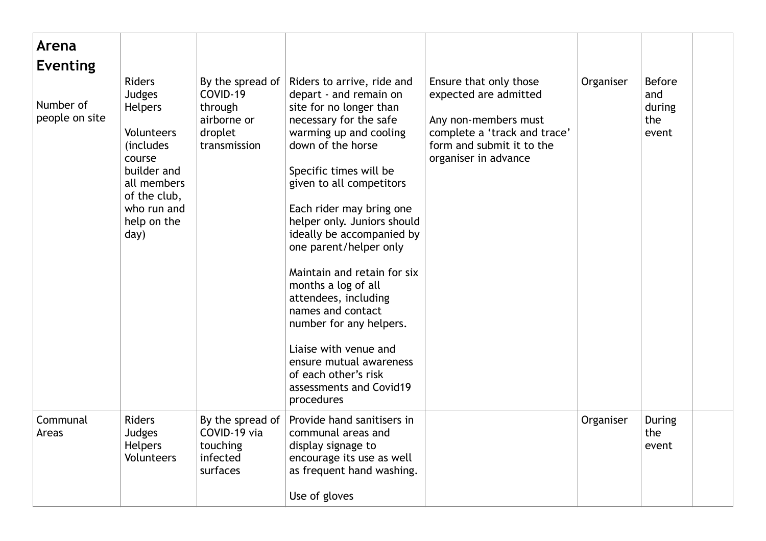| Arena<br><b>Eventing</b>    |                                                                                                                                                             |                                                                                   |                                                                                                                                                                                                                                                                                                                                                                                                                                                                                                                                                                                     |                                                                                                                                                              |           |                                                |
|-----------------------------|-------------------------------------------------------------------------------------------------------------------------------------------------------------|-----------------------------------------------------------------------------------|-------------------------------------------------------------------------------------------------------------------------------------------------------------------------------------------------------------------------------------------------------------------------------------------------------------------------------------------------------------------------------------------------------------------------------------------------------------------------------------------------------------------------------------------------------------------------------------|--------------------------------------------------------------------------------------------------------------------------------------------------------------|-----------|------------------------------------------------|
| Number of<br>people on site | <b>Riders</b><br>Judges<br>Helpers<br>Volunteers<br>(includes<br>course<br>builder and<br>all members<br>of the club,<br>who run and<br>help on the<br>day) | By the spread of<br>COVID-19<br>through<br>airborne or<br>droplet<br>transmission | Riders to arrive, ride and<br>depart - and remain on<br>site for no longer than<br>necessary for the safe<br>warming up and cooling<br>down of the horse<br>Specific times will be<br>given to all competitors<br>Each rider may bring one<br>helper only. Juniors should<br>ideally be accompanied by<br>one parent/helper only<br>Maintain and retain for six<br>months a log of all<br>attendees, including<br>names and contact<br>number for any helpers.<br>Liaise with venue and<br>ensure mutual awareness<br>of each other's risk<br>assessments and Covid19<br>procedures | Ensure that only those<br>expected are admitted<br>Any non-members must<br>complete a 'track and trace'<br>form and submit it to the<br>organiser in advance | Organiser | <b>Before</b><br>and<br>during<br>the<br>event |
| Communal<br>Areas           | <b>Riders</b><br>Judges<br><b>Helpers</b><br><b>Volunteers</b>                                                                                              | By the spread of<br>COVID-19 via<br>touching<br>infected<br>surfaces              | Provide hand sanitisers in<br>communal areas and<br>display signage to<br>encourage its use as well<br>as frequent hand washing.<br>Use of gloves                                                                                                                                                                                                                                                                                                                                                                                                                                   |                                                                                                                                                              | Organiser | <b>During</b><br>the<br>event                  |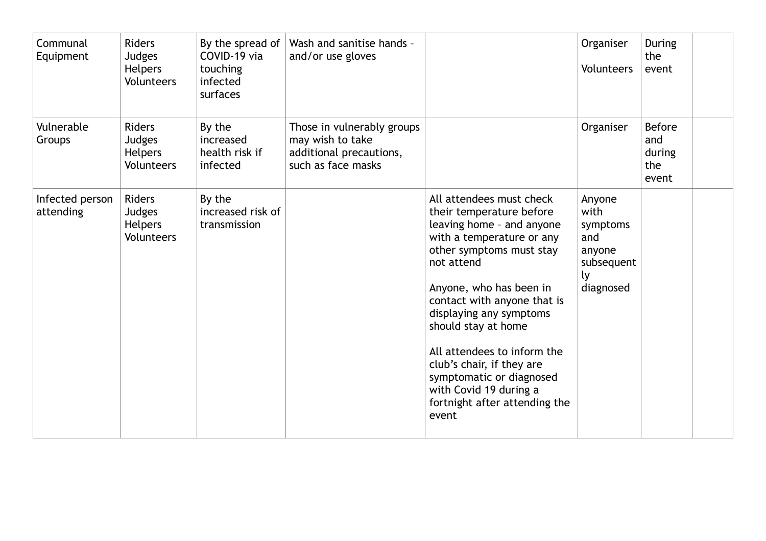| Communal<br>Equipment        | <b>Riders</b><br>Judges<br><b>Helpers</b><br><b>Volunteers</b>        | By the spread of<br>COVID-19 via<br>touching<br>infected<br>surfaces | Wash and sanitise hands -<br>and/or use gloves                                                  |                                                                                                                                                                                                                                                                                                                                                                                                                                  | Organiser<br>Volunteers                                                      | <b>During</b><br>the<br>event                  |  |
|------------------------------|-----------------------------------------------------------------------|----------------------------------------------------------------------|-------------------------------------------------------------------------------------------------|----------------------------------------------------------------------------------------------------------------------------------------------------------------------------------------------------------------------------------------------------------------------------------------------------------------------------------------------------------------------------------------------------------------------------------|------------------------------------------------------------------------------|------------------------------------------------|--|
| Vulnerable<br>Groups         | <b>Riders</b><br><b>Judges</b><br><b>Helpers</b><br>Volunteers        | By the<br>increased<br>health risk if<br>infected                    | Those in vulnerably groups<br>may wish to take<br>additional precautions,<br>such as face masks |                                                                                                                                                                                                                                                                                                                                                                                                                                  | Organiser                                                                    | <b>Before</b><br>and<br>during<br>the<br>event |  |
| Infected person<br>attending | <b>Riders</b><br><b>Judges</b><br><b>Helpers</b><br><b>Volunteers</b> | By the<br>increased risk of<br>transmission                          |                                                                                                 | All attendees must check<br>their temperature before<br>leaving home - and anyone<br>with a temperature or any<br>other symptoms must stay<br>not attend<br>Anyone, who has been in<br>contact with anyone that is<br>displaying any symptoms<br>should stay at home<br>All attendees to inform the<br>club's chair, if they are<br>symptomatic or diagnosed<br>with Covid 19 during a<br>fortnight after attending the<br>event | Anyone<br>with<br>symptoms<br>and<br>anyone<br>subsequent<br>ly<br>diagnosed |                                                |  |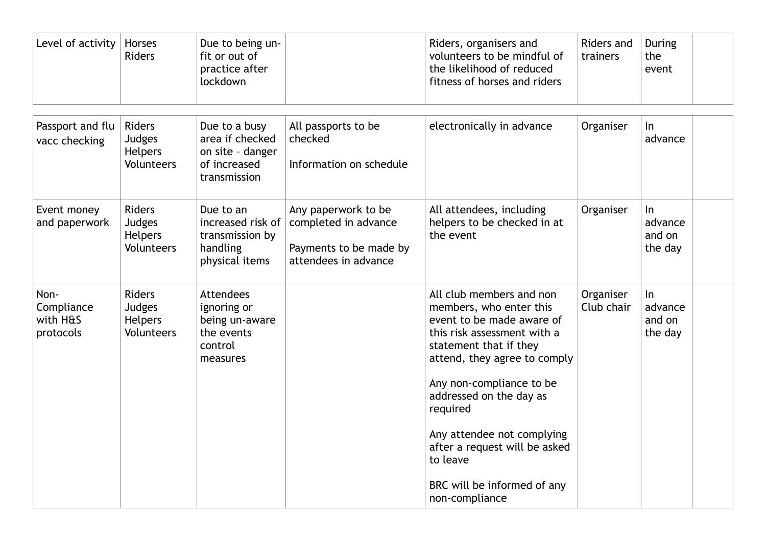| Level of activity                           | Horses<br><b>Riders</b>                                        | Due to being un-<br>fit or out of<br>practice after<br>lockdown                        |                                                                                               | Riders, organisers and<br>volunteers to be mindful of<br>the likelihood of reduced<br>fitness of horses and riders                                                                                                                                                                                                                                                       | Riders and<br>trainers  | <b>During</b><br>the<br>event         |
|---------------------------------------------|----------------------------------------------------------------|----------------------------------------------------------------------------------------|-----------------------------------------------------------------------------------------------|--------------------------------------------------------------------------------------------------------------------------------------------------------------------------------------------------------------------------------------------------------------------------------------------------------------------------------------------------------------------------|-------------------------|---------------------------------------|
| Passport and flu<br>vacc checking           | Riders<br>Judges<br><b>Helpers</b><br><b>Volunteers</b>        | Due to a busy<br>area if checked<br>on site - danger<br>of increased<br>transmission   | All passports to be<br>checked<br>Information on schedule                                     | electronically in advance                                                                                                                                                                                                                                                                                                                                                | Organiser               | In<br>advance                         |
| Event money<br>and paperwork                | <b>Riders</b><br>Judges<br><b>Helpers</b><br><b>Volunteers</b> | Due to an<br>increased risk of<br>transmission by<br>handling<br>physical items        | Any paperwork to be<br>completed in advance<br>Payments to be made by<br>attendees in advance | All attendees, including<br>helpers to be checked in at<br>the event                                                                                                                                                                                                                                                                                                     | Organiser               | In<br>advance<br>and on<br>the day    |
| Non-<br>Compliance<br>with H&S<br>protocols | <b>Riders</b><br>Judges<br><b>Helpers</b><br><b>Volunteers</b> | <b>Attendees</b><br>ignoring or<br>being un-aware<br>the events<br>control<br>measures |                                                                                               | All club members and non<br>members, who enter this<br>event to be made aware of<br>this risk assessment with a<br>statement that if they<br>attend, they agree to comply<br>Any non-compliance to be<br>addressed on the day as<br>required<br>Any attendee not complying<br>after a request will be asked<br>to leave<br>BRC will be informed of any<br>non-compliance | Organiser<br>Club chair | $\ln$<br>advance<br>and on<br>the day |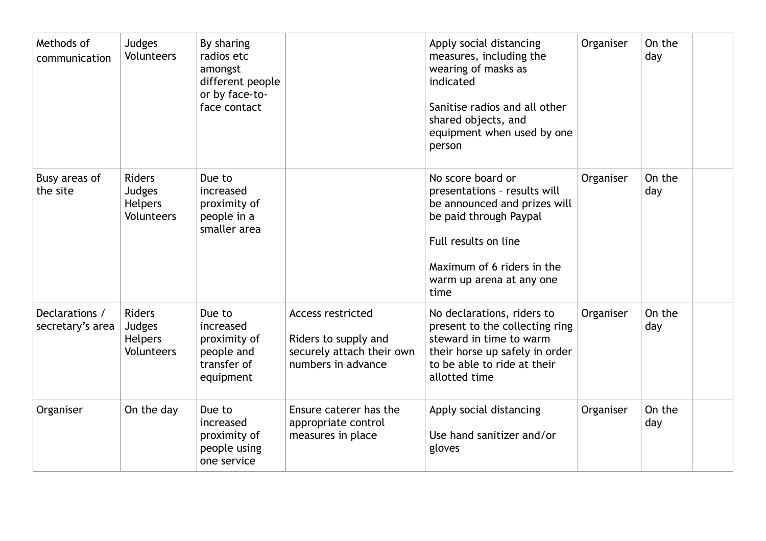| Methods of<br>communication        | Judges<br><b>Volunteers</b>                                           | By sharing<br>radios etc<br>amongst<br>different people<br>or by face-to-<br>face contact |                                                                                                     | Apply social distancing<br>measures, including the<br>wearing of masks as<br>indicated<br>Sanitise radios and all other<br>shared objects, and<br>equipment when used by one<br>person                | Organiser | On the<br>day |  |
|------------------------------------|-----------------------------------------------------------------------|-------------------------------------------------------------------------------------------|-----------------------------------------------------------------------------------------------------|-------------------------------------------------------------------------------------------------------------------------------------------------------------------------------------------------------|-----------|---------------|--|
| Busy areas of<br>the site          | <b>Riders</b><br><b>Judges</b><br><b>Helpers</b><br><b>Volunteers</b> | Due to<br>increased<br>proximity of<br>people in a<br>smaller area                        |                                                                                                     | No score board or<br>presentations - results will<br>be announced and prizes will<br>be paid through Paypal<br>Full results on line<br>Maximum of 6 riders in the<br>warm up arena at any one<br>time | Organiser | On the<br>day |  |
| Declarations /<br>secretary's area | <b>Riders</b><br>Judges<br><b>Helpers</b><br>Volunteers               | Due to<br>increased<br>proximity of<br>people and<br>transfer of<br>equipment             | <b>Access restricted</b><br>Riders to supply and<br>securely attach their own<br>numbers in advance | No declarations, riders to<br>present to the collecting ring<br>steward in time to warm<br>their horse up safely in order<br>to be able to ride at their<br>allotted time                             | Organiser | On the<br>day |  |
| Organiser                          | On the day                                                            | Due to<br>increased<br>proximity of<br>people using<br>one service                        | Ensure caterer has the<br>appropriate control<br>measures in place                                  | Apply social distancing<br>Use hand sanitizer and/or<br>gloves                                                                                                                                        | Organiser | On the<br>day |  |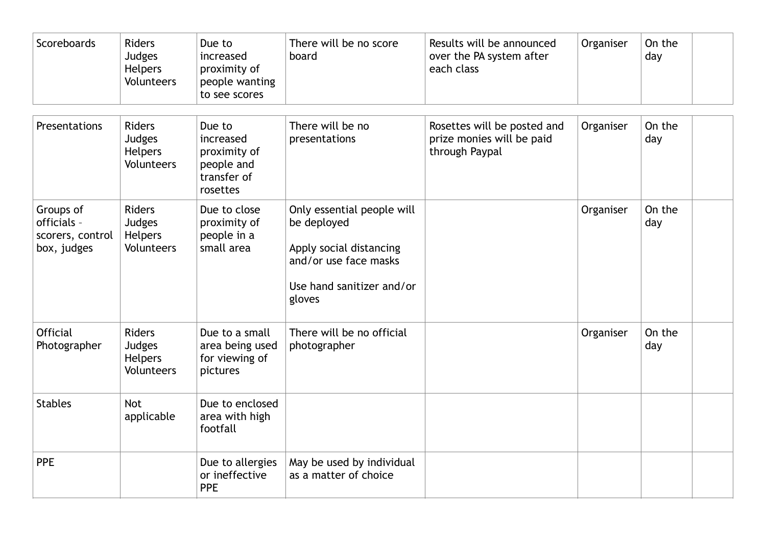| Scoreboards                                                 | <b>Riders</b><br>Judges<br>Helpers<br>Volunteers               | Due to<br>increased<br>proximity of<br>people wanting<br>to see scores       | There will be no score<br>board                                                                                                      | Results will be announced<br>over the PA system after<br>each class        | Organiser | On the<br>day |
|-------------------------------------------------------------|----------------------------------------------------------------|------------------------------------------------------------------------------|--------------------------------------------------------------------------------------------------------------------------------------|----------------------------------------------------------------------------|-----------|---------------|
| Presentations                                               | <b>Riders</b><br>Judges<br>Helpers<br><b>Volunteers</b>        | Due to<br>increased<br>proximity of<br>people and<br>transfer of<br>rosettes | There will be no<br>presentations                                                                                                    | Rosettes will be posted and<br>prize monies will be paid<br>through Paypal | Organiser | On the<br>day |
| Groups of<br>officials -<br>scorers, control<br>box, judges | <b>Riders</b><br>Judges<br>Helpers<br>Volunteers               | Due to close<br>proximity of<br>people in a<br>small area                    | Only essential people will<br>be deployed<br>Apply social distancing<br>and/or use face masks<br>Use hand sanitizer and/or<br>gloves |                                                                            | Organiser | On the<br>day |
| <b>Official</b><br>Photographer                             | <b>Riders</b><br>Judges<br><b>Helpers</b><br><b>Volunteers</b> | Due to a small<br>area being used<br>for viewing of<br>pictures              | There will be no official<br>photographer                                                                                            |                                                                            | Organiser | On the<br>day |
| <b>Stables</b>                                              | <b>Not</b><br>applicable                                       | Due to enclosed<br>area with high<br>footfall                                |                                                                                                                                      |                                                                            |           |               |
| <b>PPE</b>                                                  |                                                                | Due to allergies<br>or ineffective<br><b>PPE</b>                             | May be used by individual<br>as a matter of choice                                                                                   |                                                                            |           |               |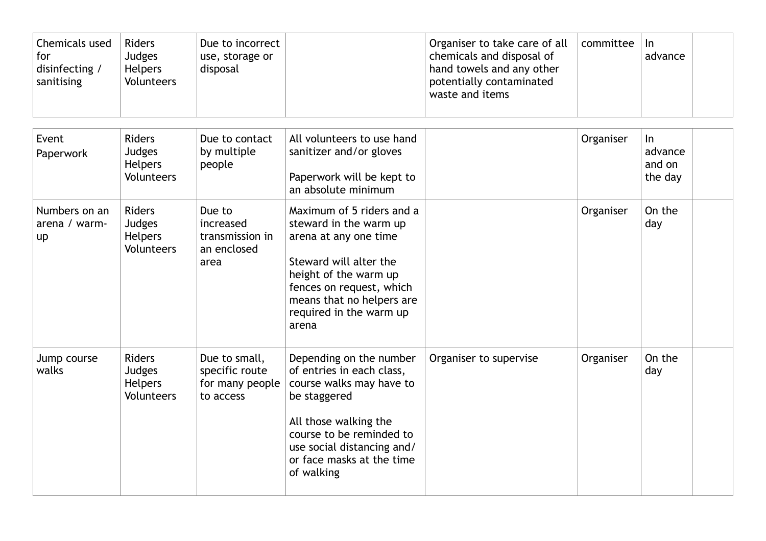| Chemicals used<br>for<br>disinfecting /<br>sanitising | <b>Riders</b><br>Judges<br><b>Helpers</b><br>Volunteers        | Due to incorrect<br>use, storage or<br>disposal                 |                                                                                                                                                                                                                                | Organiser to take care of all<br>chemicals and disposal of<br>hand towels and any other<br>potentially contaminated<br>waste and items | committee | $\ln$<br>advance                      |
|-------------------------------------------------------|----------------------------------------------------------------|-----------------------------------------------------------------|--------------------------------------------------------------------------------------------------------------------------------------------------------------------------------------------------------------------------------|----------------------------------------------------------------------------------------------------------------------------------------|-----------|---------------------------------------|
| Event<br>Paperwork                                    | <b>Riders</b><br>Judges<br>Helpers<br>Volunteers               | Due to contact<br>by multiple<br>people                         | All volunteers to use hand<br>sanitizer and/or gloves<br>Paperwork will be kept to<br>an absolute minimum                                                                                                                      |                                                                                                                                        | Organiser | $\ln$<br>advance<br>and on<br>the day |
| Numbers on an<br>arena / warm-<br>up                  | <b>Riders</b><br>Judges<br><b>Helpers</b><br><b>Volunteers</b> | Due to<br>increased<br>transmission in<br>an enclosed<br>area   | Maximum of 5 riders and a<br>steward in the warm up<br>arena at any one time<br>Steward will alter the<br>height of the warm up<br>fences on request, which<br>means that no helpers are<br>required in the warm up<br>arena   |                                                                                                                                        | Organiser | On the<br>day                         |
| Jump course<br>walks                                  | <b>Riders</b><br>Judges<br><b>Helpers</b><br>Volunteers        | Due to small,<br>specific route<br>for many people<br>to access | Depending on the number<br>of entries in each class,<br>course walks may have to<br>be staggered<br>All those walking the<br>course to be reminded to<br>use social distancing and/<br>or face masks at the time<br>of walking | Organiser to supervise                                                                                                                 | Organiser | On the<br>day                         |